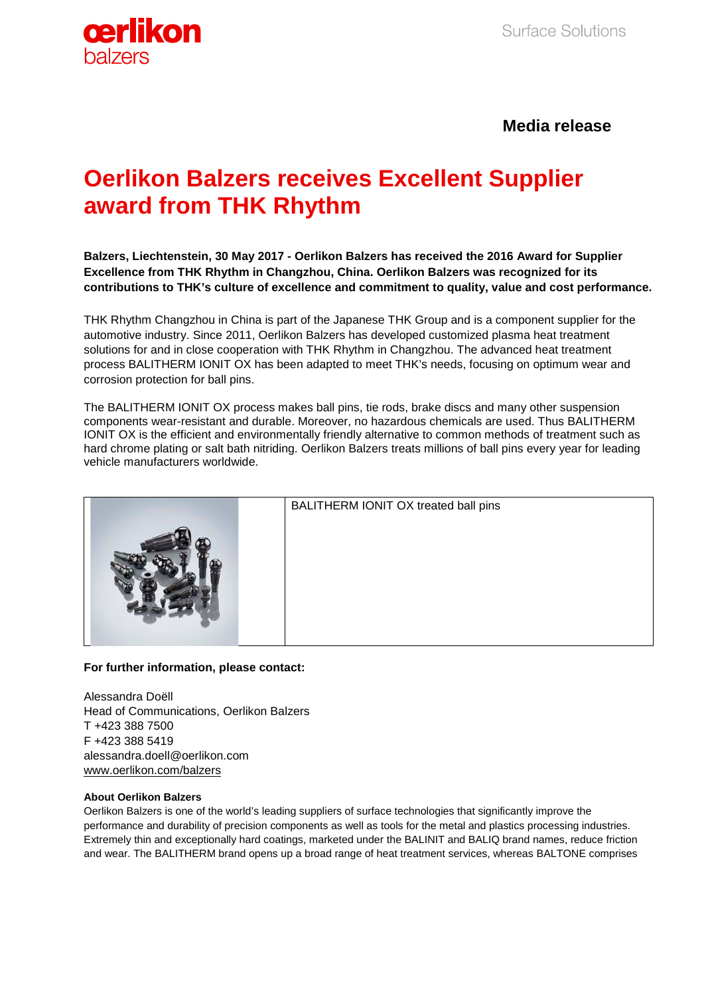

# **Media release**

# **Oerlikon Balzers receives Excellent Supplier award from THK Rhythm**

**Balzers, Liechtenstein, 30 May 2017 - Oerlikon Balzers has received the 2016 Award for Supplier Excellence from THK Rhythm in Changzhou, China. Oerlikon Balzers was recognized for its contributions to THK's culture of excellence and commitment to quality, value and cost performance.**

THK Rhythm Changzhou in China is part of the Japanese THK Group and is a component supplier for the automotive industry. Since 2011, Oerlikon Balzers has developed customized plasma heat treatment solutions for and in close cooperation with THK Rhythm in Changzhou. The advanced heat treatment process BALITHERM IONIT OX has been adapted to meet THK's needs, focusing on optimum wear and corrosion protection for ball pins.

The BALITHERM IONIT OX process makes ball pins, tie rods, brake discs and many other suspension components wear-resistant and durable. Moreover, no hazardous chemicals are used. Thus BALITHERM IONIT OX is the efficient and environmentally friendly alternative to common methods of treatment such as hard chrome plating or salt bath nitriding. Oerlikon Balzers treats millions of ball pins every year for leading vehicle manufacturers worldwide.

|  | BALITHERM IONIT OX treated ball pins |
|--|--------------------------------------|

## **For further information, please contact:**

Alessandra Doëll Head of Communications, Oerlikon Balzers T +423 388 7500 F +423 388 5419 alessandra.doell@oerlikon.com [www.oerlikon.com/balzers](http://www.oerlikon.com/balzers)

### **About Oerlikon Balzers**

Oerlikon Balzers is one of the world's leading suppliers of surface technologies that significantly improve the performance and durability of precision components as well as tools for the metal and plastics processing industries. Extremely thin and exceptionally hard coatings, marketed under the BALINIT and BALIQ brand names, reduce friction and wear. The BALITHERM brand opens up a broad range of heat treatment services, whereas BALTONE comprises